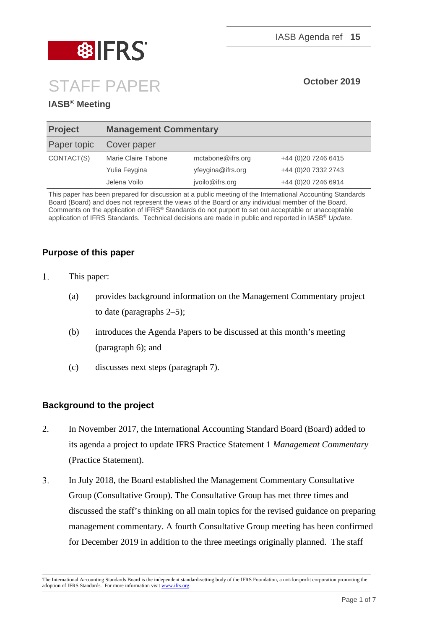

# STAFF PAPER **October <sup>2019</sup>**

### **IASB® Meeting**

| <b>Project</b> | <b>Management Commentary</b> |                   |                      |
|----------------|------------------------------|-------------------|----------------------|
| Paper topic    | Cover paper                  |                   |                      |
| CONTACT(S)     | Marie Claire Tabone          | mctabone@ifrs.org | +44 (0) 20 7246 6415 |
|                | Yulia Feygina                | yfeygina@ifrs.org | +44 (0)20 7332 2743  |
|                | Jelena Voilo                 | jvoilo@ifrs.org   | +44 (0) 20 7246 6914 |
|                |                              |                   |                      |

This paper has been prepared for discussion at a public meeting of the International Accounting Standards Board (Board) and does not represent the views of the Board or any individual member of the Board. Comments on the application of IFRS® Standards do not purport to set out acceptable or unacceptable application of IFRS Standards. Technical decisions are made in public and reported in IASB® *Update*.

### **Purpose of this paper**

- $1<sup>1</sup>$ This paper:
	- (a) provides background information on the Management Commentary project to date (paragraphs 2–5);
	- (b) introduces the Agenda Papers to be discussed at this month's meeting (paragraph 6); and
	- (c) discusses next steps (paragraph 7).

#### **Background to the project**

- 2. In November 2017, the International Accounting Standard Board (Board) added to its agenda a project to update IFRS Practice Statement 1 *Management Commentary* (Practice Statement).
- $\overline{3}$ . In July 2018, the Board established the Management Commentary Consultative Group (Consultative Group). The Consultative Group has met three times and discussed the staff's thinking on all main topics for the revised guidance on preparing management commentary. A fourth Consultative Group meeting has been confirmed for December 2019 in addition to the three meetings originally planned. The staff

The International Accounting Standards Board is the independent standard-setting body of the IFRS Foundation, a not-for-profit corporation promoting the adoption of IFRS Standards. For more information visit [www.ifrs.org.](http://www.ifrs.org/)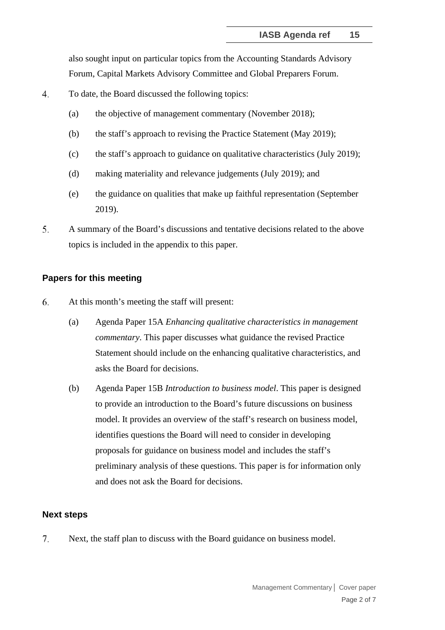also sought input on particular topics from the Accounting Standards Advisory Forum, Capital Markets Advisory Committee and Global Preparers Forum.

- 4. To date, the Board discussed the following topics:
	- (a) the objective of management commentary (November 2018);
	- (b) the staff's approach to revising the Practice Statement (May 2019);
	- (c) the staff's approach to guidance on qualitative characteristics (July 2019);
	- (d) making materiality and relevance judgements (July 2019); and
	- (e) the guidance on qualities that make up faithful representation (September 2019).
- 5. A summary of the Board's discussions and tentative decisions related to the above topics is included in the appendix to this paper.

#### **Papers for this meeting**

- 6. At this month's meeting the staff will present:
	- (a) Agenda Paper 15A *Enhancing qualitative characteristics in management commentary*. This paper discusses what guidance the revised Practice Statement should include on the enhancing qualitative characteristics, and asks the Board for decisions.
	- (b) Agenda Paper 15B *Introduction to business model*. This paper is designed to provide an introduction to the Board's future discussions on business model. It provides an overview of the staff's research on business model, identifies questions the Board will need to consider in developing proposals for guidance on business model and includes the staff's preliminary analysis of these questions. This paper is for information only and does not ask the Board for decisions.

#### **Next steps**

 $7<sub>1</sub>$ Next, the staff plan to discuss with the Board guidance on business model.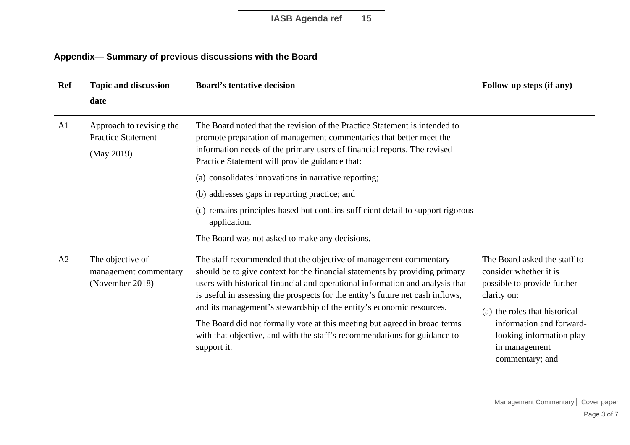## **Appendix— Summary of previous discussions with the Board**

| <b>Ref</b>     | <b>Topic and discussion</b><br>date                                 | <b>Board's tentative decision</b>                                                                                                                                                                                                                                                                                                                                                                                                                                                                                                                                    | Follow-up steps (if any)                                                                                                                                                                                                          |
|----------------|---------------------------------------------------------------------|----------------------------------------------------------------------------------------------------------------------------------------------------------------------------------------------------------------------------------------------------------------------------------------------------------------------------------------------------------------------------------------------------------------------------------------------------------------------------------------------------------------------------------------------------------------------|-----------------------------------------------------------------------------------------------------------------------------------------------------------------------------------------------------------------------------------|
| A1             | Approach to revising the<br><b>Practice Statement</b><br>(May 2019) | The Board noted that the revision of the Practice Statement is intended to<br>promote preparation of management commentaries that better meet the<br>information needs of the primary users of financial reports. The revised<br>Practice Statement will provide guidance that:<br>(a) consolidates innovations in narrative reporting;<br>(b) addresses gaps in reporting practice; and<br>(c) remains principles-based but contains sufficient detail to support rigorous<br>application.<br>The Board was not asked to make any decisions.                        |                                                                                                                                                                                                                                   |
| A <sub>2</sub> | The objective of<br>management commentary<br>(November 2018)        | The staff recommended that the objective of management commentary<br>should be to give context for the financial statements by providing primary<br>users with historical financial and operational information and analysis that<br>is useful in assessing the prospects for the entity's future net cash inflows,<br>and its management's stewardship of the entity's economic resources.<br>The Board did not formally vote at this meeting but agreed in broad terms<br>with that objective, and with the staff's recommendations for guidance to<br>support it. | The Board asked the staff to<br>consider whether it is<br>possible to provide further<br>clarity on:<br>(a) the roles that historical<br>information and forward-<br>looking information play<br>in management<br>commentary; and |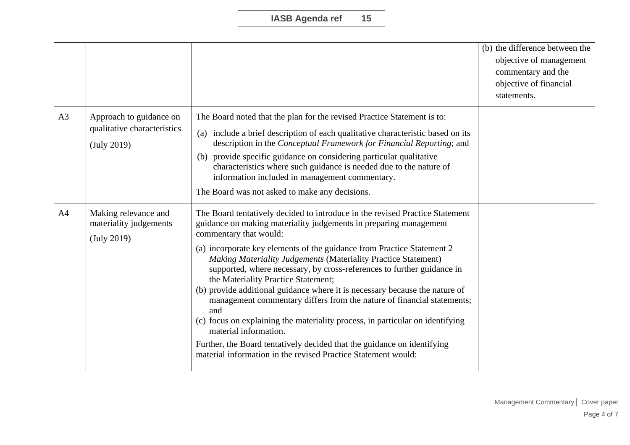|                |                                                                       |                                                                                                                                                                                                                                                                                                                                                                                                                                                                                                                                                                                                                                                                                                                                                                                                                                                                       | (b) the difference between the<br>objective of management<br>commentary and the<br>objective of financial<br>statements. |
|----------------|-----------------------------------------------------------------------|-----------------------------------------------------------------------------------------------------------------------------------------------------------------------------------------------------------------------------------------------------------------------------------------------------------------------------------------------------------------------------------------------------------------------------------------------------------------------------------------------------------------------------------------------------------------------------------------------------------------------------------------------------------------------------------------------------------------------------------------------------------------------------------------------------------------------------------------------------------------------|--------------------------------------------------------------------------------------------------------------------------|
| A <sub>3</sub> | Approach to guidance on<br>qualitative characteristics<br>(July 2019) | The Board noted that the plan for the revised Practice Statement is to:<br>(a) include a brief description of each qualitative characteristic based on its<br>description in the Conceptual Framework for Financial Reporting; and<br>(b) provide specific guidance on considering particular qualitative<br>characteristics where such guidance is needed due to the nature of<br>information included in management commentary.<br>The Board was not asked to make any decisions.                                                                                                                                                                                                                                                                                                                                                                                   |                                                                                                                          |
| A <sub>4</sub> | Making relevance and<br>materiality judgements<br>(July 2019)         | The Board tentatively decided to introduce in the revised Practice Statement<br>guidance on making materiality judgements in preparing management<br>commentary that would:<br>(a) incorporate key elements of the guidance from Practice Statement 2<br><b>Making Materiality Judgements (Materiality Practice Statement)</b><br>supported, where necessary, by cross-references to further guidance in<br>the Materiality Practice Statement;<br>(b) provide additional guidance where it is necessary because the nature of<br>management commentary differs from the nature of financial statements;<br>and<br>(c) focus on explaining the materiality process, in particular on identifying<br>material information.<br>Further, the Board tentatively decided that the guidance on identifying<br>material information in the revised Practice Statement would: |                                                                                                                          |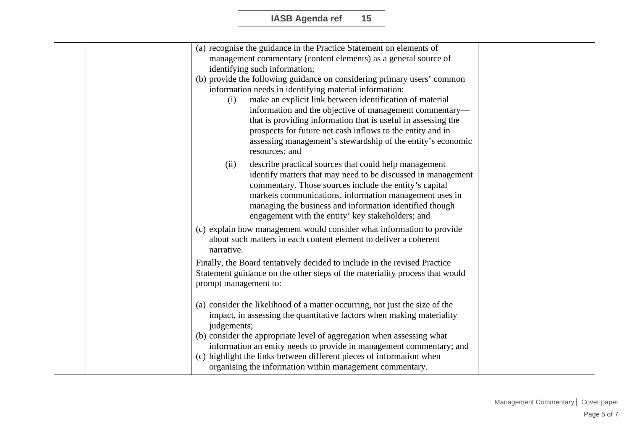| (a) recognise the guidance in the Practice Statement on elements of         |                       |  |
|-----------------------------------------------------------------------------|-----------------------|--|
| management commentary (content elements) as a general source of             |                       |  |
| identifying such information;                                               |                       |  |
| (b) provide the following guidance on considering primary users' common     |                       |  |
| information needs in identifying material information:                      |                       |  |
| make an explicit link between identification of material<br>(i)             |                       |  |
| information and the objective of management commentary-                     |                       |  |
| that is providing information that is useful in assessing the               |                       |  |
| prospects for future net cash inflows to the entity and in                  |                       |  |
| assessing management's stewardship of the entity's economic                 |                       |  |
| resources; and                                                              |                       |  |
| (ii)<br>describe practical sources that could help management               |                       |  |
| identify matters that may need to be discussed in management                |                       |  |
| commentary. Those sources include the entity's capital                      |                       |  |
| markets communications, information management uses in                      |                       |  |
| managing the business and information identified though                     |                       |  |
| engagement with the entity' key stakeholders; and                           |                       |  |
| (c) explain how management would consider what information to provide       |                       |  |
| about such matters in each content element to deliver a coherent            |                       |  |
| narrative.                                                                  |                       |  |
|                                                                             |                       |  |
| Finally, the Board tentatively decided to include in the revised Practice   |                       |  |
| Statement guidance on the other steps of the materiality process that would |                       |  |
|                                                                             | prompt management to: |  |
|                                                                             |                       |  |
| (a) consider the likelihood of a matter occurring, not just the size of the |                       |  |
| impact, in assessing the quantitative factors when making materiality       |                       |  |
| judgements;                                                                 |                       |  |
| (b) consider the appropriate level of aggregation when assessing what       |                       |  |
| information an entity needs to provide in management commentary; and        |                       |  |
| (c) highlight the links between different pieces of information when        |                       |  |
| organising the information within management commentary.                    |                       |  |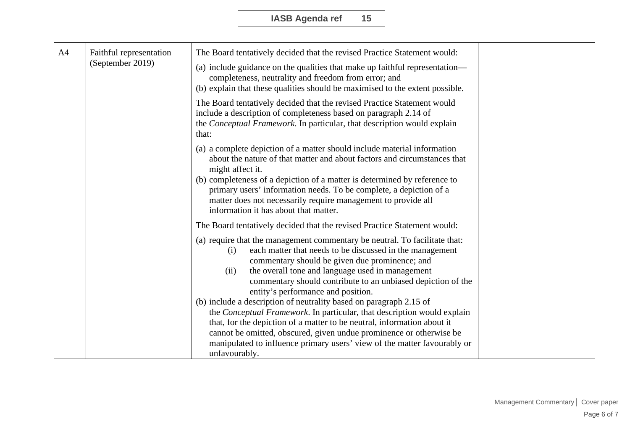| A <sub>4</sub>   |                         |                                                                                                                                                                                                                                                                                                                                                                   |  |
|------------------|-------------------------|-------------------------------------------------------------------------------------------------------------------------------------------------------------------------------------------------------------------------------------------------------------------------------------------------------------------------------------------------------------------|--|
| (September 2019) | Faithful representation | The Board tentatively decided that the revised Practice Statement would:                                                                                                                                                                                                                                                                                          |  |
|                  |                         | (a) include guidance on the qualities that make up faithful representation—<br>completeness, neutrality and freedom from error; and<br>(b) explain that these qualities should be maximised to the extent possible.                                                                                                                                               |  |
|                  |                         | The Board tentatively decided that the revised Practice Statement would<br>include a description of completeness based on paragraph 2.14 of<br>the Conceptual Framework. In particular, that description would explain<br>that:                                                                                                                                   |  |
|                  |                         | (a) a complete depiction of a matter should include material information<br>about the nature of that matter and about factors and circumstances that<br>might affect it.                                                                                                                                                                                          |  |
|                  |                         | (b) completeness of a depiction of a matter is determined by reference to<br>primary users' information needs. To be complete, a depiction of a<br>matter does not necessarily require management to provide all<br>information it has about that matter.                                                                                                         |  |
|                  |                         | The Board tentatively decided that the revised Practice Statement would:                                                                                                                                                                                                                                                                                          |  |
|                  |                         | (a) require that the management commentary be neutral. To facilitate that:<br>each matter that needs to be discussed in the management<br>(i)<br>commentary should be given due prominence; and<br>the overall tone and language used in management<br>(ii)<br>commentary should contribute to an unbiased depiction of the<br>entity's performance and position. |  |
|                  |                         | (b) include a description of neutrality based on paragraph 2.15 of                                                                                                                                                                                                                                                                                                |  |
|                  |                         | the Conceptual Framework. In particular, that description would explain                                                                                                                                                                                                                                                                                           |  |
|                  |                         | that, for the depiction of a matter to be neutral, information about it<br>cannot be omitted, obscured, given undue prominence or otherwise be                                                                                                                                                                                                                    |  |
|                  |                         | manipulated to influence primary users' view of the matter favourably or                                                                                                                                                                                                                                                                                          |  |
|                  |                         | unfavourably.                                                                                                                                                                                                                                                                                                                                                     |  |